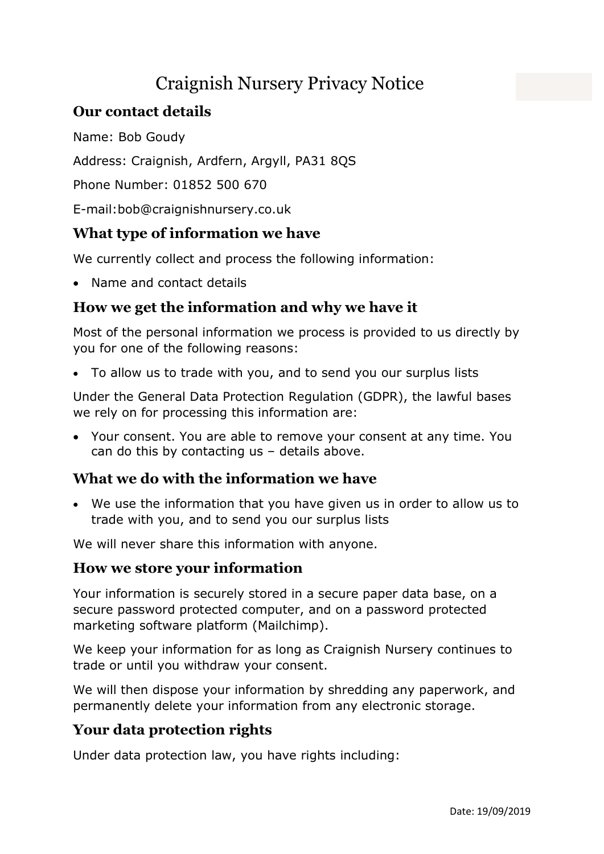# Craignish Nursery Privacy Notice

## Our contact details

Name: Bob Goudy

Address: Craignish, Ardfern, Argyll, PA31 8QS

Phone Number: 01852 500 670

E-mail:bob@craignishnursery.co.uk

### What type of information we have

We currently collect and process the following information:

Name and contact details

### How we get the information and why we have it

Most of the personal information we process is provided to us directly by you for one of the following reasons:

To allow us to trade with you, and to send you our surplus lists

Under the General Data Protection Regulation (GDPR), the lawful bases we rely on for processing this information are:

 Your consent. You are able to remove your consent at any time. You can do this by contacting us – details above.

### What we do with the information we have

 We use the information that you have given us in order to allow us to trade with you, and to send you our surplus lists

We will never share this information with anyone.

### How we store your information

Your information is securely stored in a secure paper data base, on a secure password protected computer, and on a password protected marketing software platform (Mailchimp).

We keep your information for as long as Craignish Nursery continues to trade or until you withdraw your consent.

We will then dispose your information by shredding any paperwork, and permanently delete your information from any electronic storage.

### Your data protection rights

Under data protection law, you have rights including: